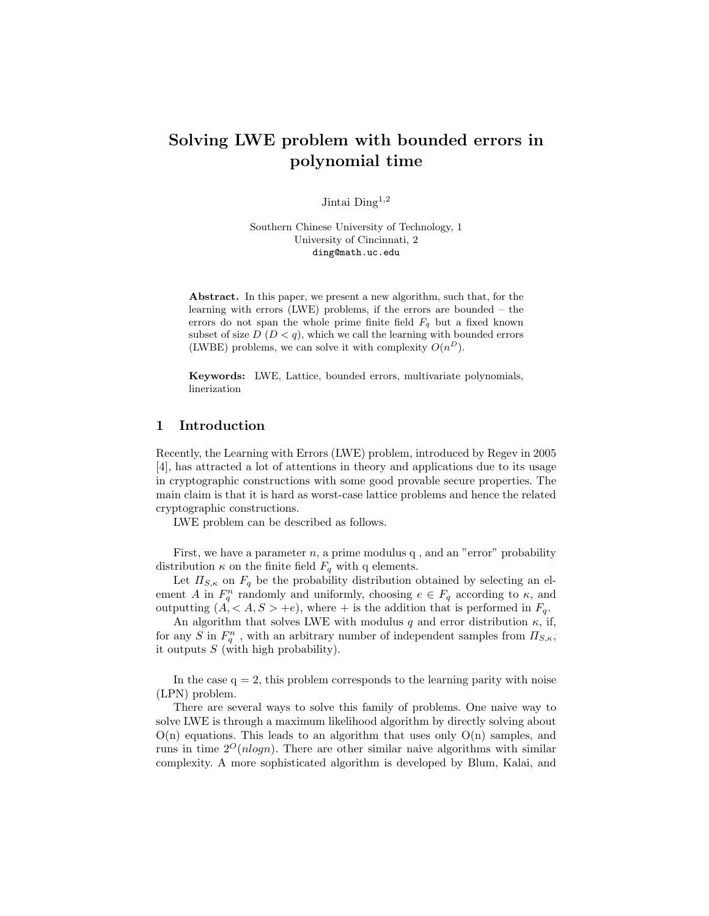# Solving LWE problem with bounded errors in polynomial time

Jintai Ding<sup>1,2</sup>

Southern Chinese University of Technology, 1 University of Cincinnati, 2 ding@math.uc.edu

Abstract. In this paper, we present a new algorithm, such that, for the learning with errors (LWE) problems, if the errors are bounded – the errors do not span the whole prime finite field  $F_q$  but a fixed known subset of size  $D (D < q)$ , which we call the learning with bounded errors (LWBE) problems, we can solve it with complexity  $O(n^D)$ .

Keywords: LWE, Lattice, bounded errors, multivariate polynomials, linerization

# 1 Introduction

Recently, the Learning with Errors (LWE) problem, introduced by Regev in 2005 [4], has attracted a lot of attentions in theory and applications due to its usage in cryptographic constructions with some good provable secure properties. The main claim is that it is hard as worst-case lattice problems and hence the related cryptographic constructions.

LWE problem can be described as follows.

First, we have a parameter  $n$ , a prime modulus  $q$ , and an "error" probability distribution  $\kappa$  on the finite field  $F_q$  with q elements.

Let  $\Pi_{S,\kappa}$  on  $F_q$  be the probability distribution obtained by selecting an element A in  $F_q^n$  randomly and uniformly, choosing  $e \in F_q$  according to  $\kappa$ , and outputting  $(A, \langle A, S \rangle + e)$ , where  $+$  is the addition that is performed in  $F_q$ .

An algorithm that solves LWE with modulus q and error distribution  $\kappa$ , if, for any S in  $F_q^n$ , with an arbitrary number of independent samples from  $\Pi_{S,\kappa}$ , it outputs  $S$  (with high probability).

In the case  $q = 2$ , this problem corresponds to the learning parity with noise (LPN) problem.

There are several ways to solve this family of problems. One naive way to solve LWE is through a maximum likelihood algorithm by directly solving about  $O(n)$  equations. This leads to an algorithm that uses only  $O(n)$  samples, and runs in time  $2^O(n \log n)$ . There are other similar naive algorithms with similar complexity. A more sophisticated algorithm is developed by Blum, Kalai, and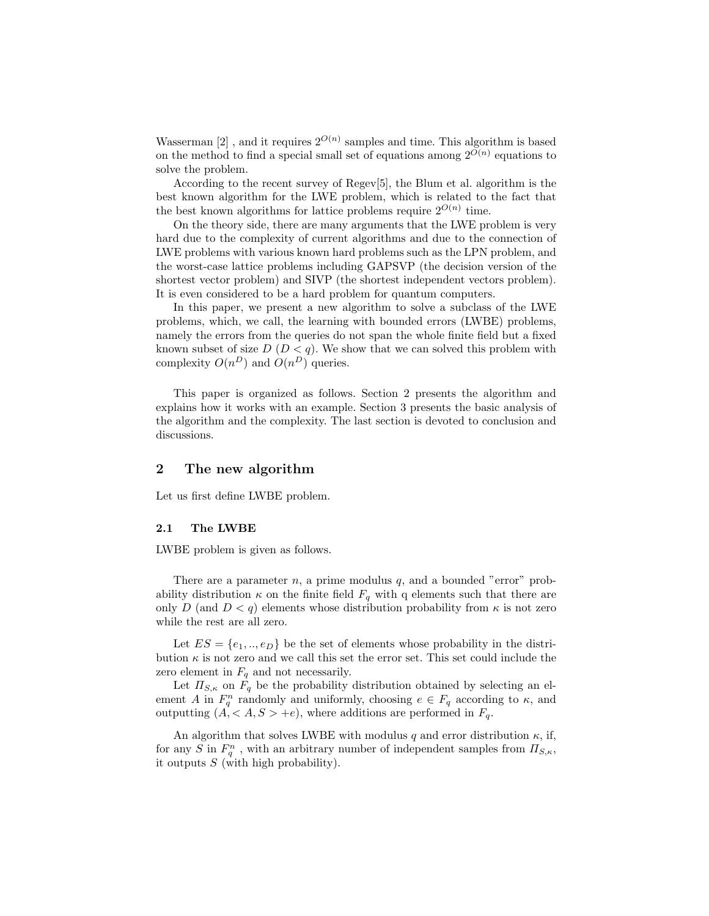Wasserman [2], and it requires  $2^{O(n)}$  samples and time. This algorithm is based on the method to find a special small set of equations among  $2^{O(n)}$  equations to solve the problem.

According to the recent survey of Regev[5], the Blum et al. algorithm is the best known algorithm for the LWE problem, which is related to the fact that the best known algorithms for lattice problems require  $2^{O(n)}$  time.

On the theory side, there are many arguments that the LWE problem is very hard due to the complexity of current algorithms and due to the connection of LWE problems with various known hard problems such as the LPN problem, and the worst-case lattice problems including GAPSVP (the decision version of the shortest vector problem) and SIVP (the shortest independent vectors problem). It is even considered to be a hard problem for quantum computers.

In this paper, we present a new algorithm to solve a subclass of the LWE problems, which, we call, the learning with bounded errors (LWBE) problems, namely the errors from the queries do not span the whole finite field but a fixed known subset of size  $D(D < q)$ . We show that we can solved this problem with complexity  $O(n^D)$  and  $O(n^D)$  queries.

This paper is organized as follows. Section 2 presents the algorithm and explains how it works with an example. Section 3 presents the basic analysis of the algorithm and the complexity. The last section is devoted to conclusion and discussions.

# 2 The new algorithm

Let us first define LWBE problem.

### 2.1 The LWBE

LWBE problem is given as follows.

There are a parameter  $n$ , a prime modulus  $q$ , and a bounded "error" probability distribution  $\kappa$  on the finite field  $F_q$  with q elements such that there are only D (and  $D < q$ ) elements whose distribution probability from  $\kappa$  is not zero while the rest are all zero.

Let  $ES = \{e_1, ..., e_D\}$  be the set of elements whose probability in the distribution  $\kappa$  is not zero and we call this set the error set. This set could include the zero element in  $F_q$  and not necessarily.

Let  $\Pi_{S,\kappa}$  on  $F_q$  be the probability distribution obtained by selecting an element A in  $F_q^n$  randomly and uniformly, choosing  $e \in F_q$  according to  $\kappa$ , and outputting  $(A,  +e)$ , where additions are performed in  $F_q$ .

An algorithm that solves LWBE with modulus q and error distribution  $\kappa$ , if, for any S in  $F_q^n$ , with an arbitrary number of independent samples from  $\Pi_{S,\kappa}$ , it outputs  $S$  (with high probability).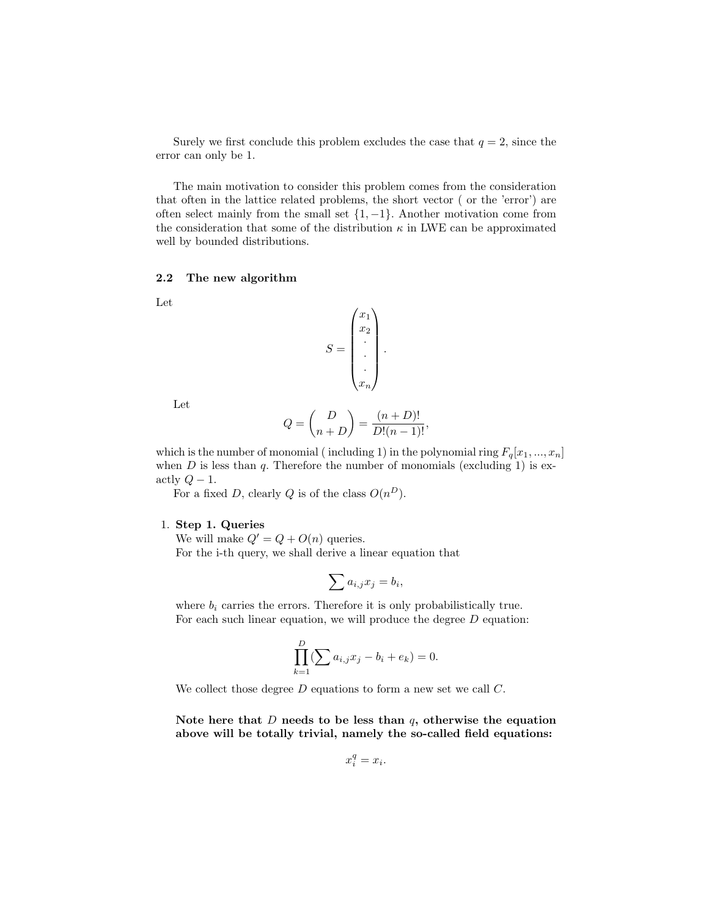Surely we first conclude this problem excludes the case that  $q = 2$ , since the error can only be 1.

The main motivation to consider this problem comes from the consideration that often in the lattice related problems, the short vector ( or the 'error') are often select mainly from the small set  $\{1, -1\}$ . Another motivation come from the consideration that some of the distribution  $\kappa$  in LWE can be approximated well by bounded distributions.

### 2.2 The new algorithm

Let

$$
S = \begin{pmatrix} x_1 \\ x_2 \\ \vdots \\ x_n \end{pmatrix}.
$$

Let

$$
Q = \binom{D}{n+D} = \frac{(n+D)!}{D!(n-1)!},
$$

which is the number of monomial (including 1) in the polynomial ring  $F_q[x_1, ..., x_n]$ when  $D$  is less than  $q$ . Therefore the number of monomials (excluding 1) is exactly  $Q-1$ .

For a fixed D, clearly Q is of the class  $O(n^D)$ .

### 1. Step 1. Queries

We will make  $Q' = Q + O(n)$  queries. For the i-th query, we shall derive a linear equation that

$$
\sum a_{i,j}x_j=b_i
$$

,

where  $b_i$  carries the errors. Therefore it is only probabilistically true. For each such linear equation, we will produce the degree  $D$  equation:

$$
\prod_{k=1}^{D} (\sum a_{i,j} x_j - b_i + e_k) = 0.
$$

We collect those degree D equations to form a new set we call C.

Note here that  $D$  needs to be less than  $q$ , otherwise the equation above will be totally trivial, namely the so-called field equations:

$$
x_i^q = x_i.
$$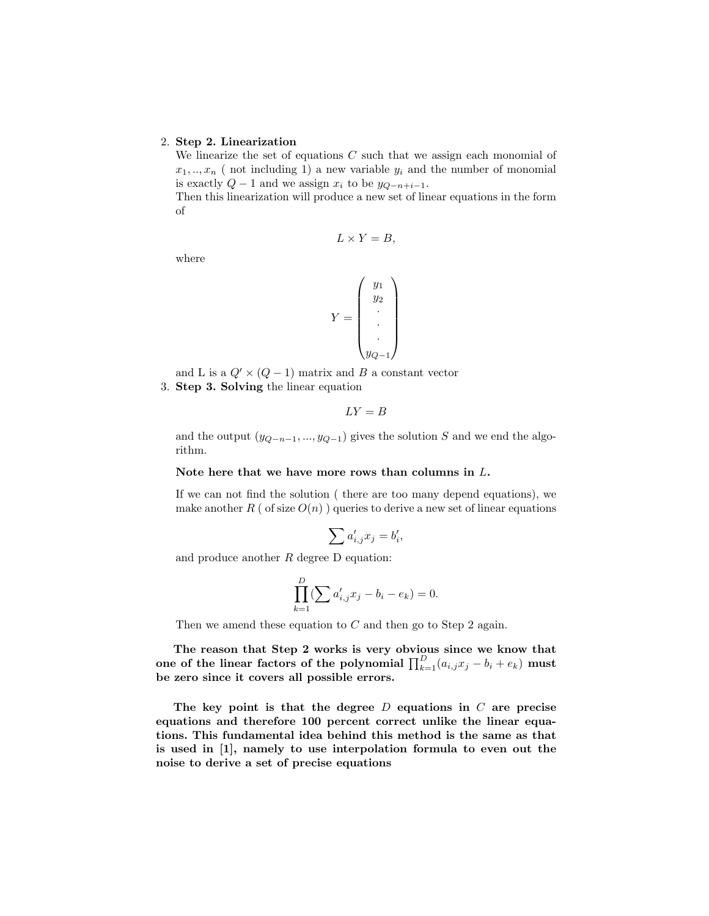### 2. Step 2. Linearization

We linearize the set of equations  $C$  such that we assign each monomial of  $x_1, \ldots, x_n$  (not including 1) a new variable  $y_i$  and the number of monomial is exactly  $Q - 1$  and we assign  $x_i$  to be  $y_{Q-n+i-1}$ .

Then this linearization will produce a new set of linear equations in the form of

$$
L \times Y = B,
$$

where

$$
Y = \begin{pmatrix} y_1 \\ y_2 \\ \vdots \\ y_{Q-1} \end{pmatrix}
$$

and L is a  $Q' \times (Q - 1)$  matrix and B a constant vector 3. Step 3. Solving the linear equation

$$
LY=B
$$

and the output  $(y_{Q-n-1},...,y_{Q-1})$  gives the solution S and we end the algorithm.

#### Note here that we have more rows than columns in L.

If we can not find the solution ( there are too many depend equations), we make another R ( of size  $O(n)$  ) queries to derive a new set of linear equations

$$
\sum a_{i,j}' x_j = b_i',
$$

and produce another  $R$  degree  $D$  equation:

$$
\prod_{k=1}^{D} (\sum a'_{i,j} x_j - b_i - e_k) = 0.
$$

Then we amend these equation to  $C$  and then go to Step 2 again.

The reason that Step 2 works is very obvious since we know that one of the linear factors of the polynomial  $\prod_{k=1}^{D} (a_{i,j}x_j - b_i + e_k)$  must be zero since it covers all possible errors.

The key point is that the degree  $D$  equations in  $C$  are precise equations and therefore 100 percent correct unlike the linear equations. This fundamental idea behind this method is the same as that is used in [1], namely to use interpolation formula to even out the noise to derive a set of precise equations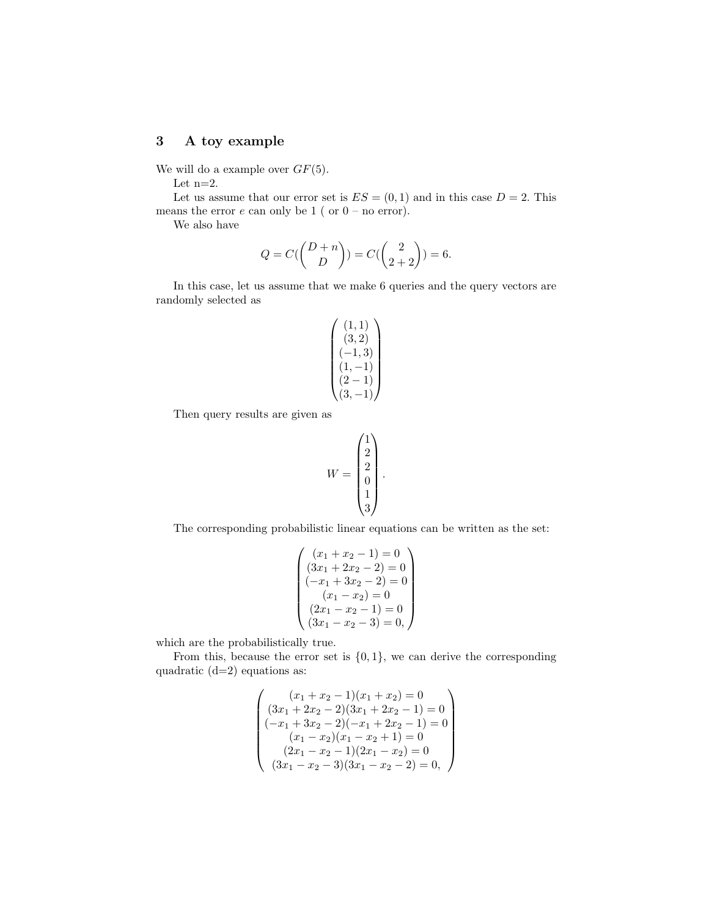# 3 A toy example

We will do a example over  $GF(5)$ .

Let  $\mathbf{n}{=}2.$ 

Let us assume that our error set is  $ES = (0, 1)$  and in this case  $D = 2$ . This means the error  $e$  can only be 1 ( or  $0$  – no error).

We also have

$$
Q = C({D + n \choose D}) = C({2 \choose 2 + 2}) = 6.
$$

In this case, let us assume that we make 6 queries and the query vectors are randomly selected as

$$
\begin{pmatrix} (1,1) \\ (3,2) \\ (-1,3) \\ (1,-1) \\ (2-1) \\ (3,-1) \end{pmatrix}
$$

Then query results are given as

$$
W = \begin{pmatrix} 1 \\ 2 \\ 2 \\ 0 \\ 1 \\ 3 \end{pmatrix}
$$

.

The corresponding probabilistic linear equations can be written as the set:

$$
\begin{pmatrix}\n(x_1 + x_2 - 1) = 0 \\
(3x_1 + 2x_2 - 2) = 0 \\
(-x_1 + 3x_2 - 2) = 0 \\
(x_1 - x_2) = 0 \\
(2x_1 - x_2 - 1) = 0 \\
(3x_1 - x_2 - 3) = 0,\n\end{pmatrix}
$$

which are the probabilistically true.

From this, because the error set is  $\{0, 1\}$ , we can derive the corresponding quadratic  $(d=2)$  equations as:

$$
\begin{pmatrix}\n(x_1 + x_2 - 1)(x_1 + x_2) = 0 \\
(3x_1 + 2x_2 - 2)(3x_1 + 2x_2 - 1) = 0 \\
(-x_1 + 3x_2 - 2)(-x_1 + 2x_2 - 1) = 0 \\
(x_1 - x_2)(x_1 - x_2 + 1) = 0 \\
(2x_1 - x_2 - 1)(2x_1 - x_2) = 0 \\
(3x_1 - x_2 - 3)(3x_1 - x_2 - 2) = 0,\n\end{pmatrix}
$$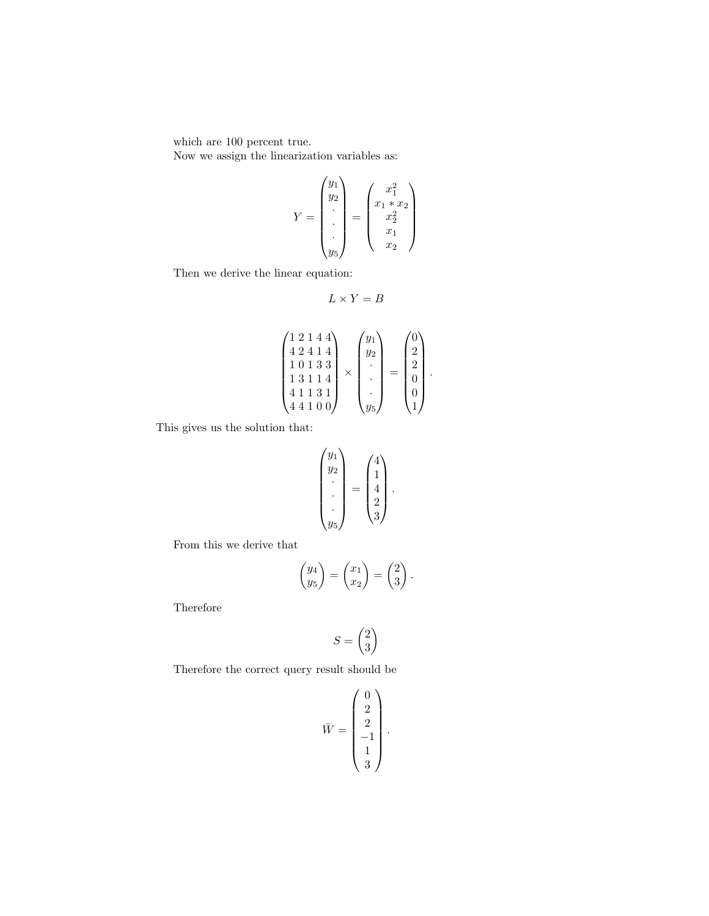which are 100 percent true.

Now we assign the linearization variables as:

$$
Y = \begin{pmatrix} y_1 \\ y_2 \\ \vdots \\ y_5 \end{pmatrix} = \begin{pmatrix} x_1^2 \\ x_1 * x_2 \\ x_2^2 \\ x_1 \\ x_2 \end{pmatrix}
$$

Then we derive the linear equation:

$$
L \times Y = B
$$

$$
\begin{pmatrix} 1 & 2 & 1 & 4 & 4 \ 4 & 2 & 4 & 1 & 4 \ 1 & 0 & 1 & 3 & 3 \ 1 & 3 & 1 & 1 & 4 \ 4 & 1 & 1 & 0 & 0 \end{pmatrix} \times \begin{pmatrix} y_1 \\ y_2 \\ \cdot \\ \cdot \\ \cdot \\ y_5 \end{pmatrix} = \begin{pmatrix} 0 \\ 2 \\ 2 \\ 0 \\ 0 \\ 1 \end{pmatrix}.
$$

This gives us the solution that:

$$
\begin{pmatrix} y_1 \\ y_2 \\ \vdots \\ y_5 \end{pmatrix} = \begin{pmatrix} 4 \\ 1 \\ 4 \\ 2 \\ 3 \end{pmatrix}.
$$

From this we derive that

$$
\begin{pmatrix} y_4 \\ y_5 \end{pmatrix} = \begin{pmatrix} x_1 \\ x_2 \end{pmatrix} = \begin{pmatrix} 2 \\ 3 \end{pmatrix}.
$$

Therefore

$$
S = \begin{pmatrix} 2 \\ 3 \end{pmatrix}
$$

Therefore the correct query result should be

$$
\bar{W} = \begin{pmatrix} 0 \\ 2 \\ 2 \\ -1 \\ 1 \\ 3 \end{pmatrix}.
$$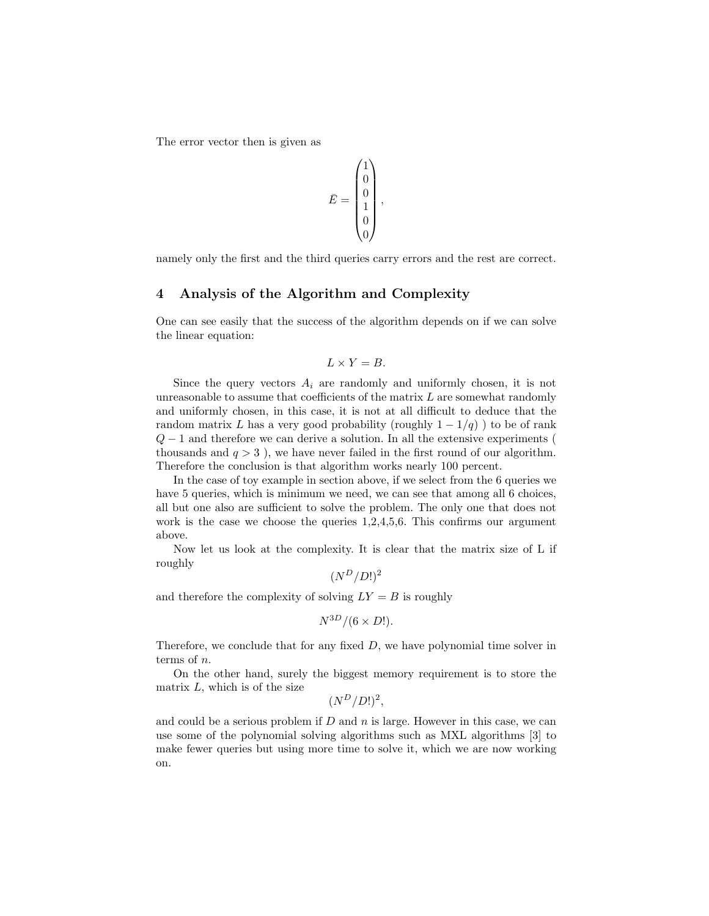The error vector then is given as

$$
\bar{E} = \begin{pmatrix} 1 \\ 0 \\ 0 \\ 1 \\ 0 \\ 0 \end{pmatrix},
$$

namely only the first and the third queries carry errors and the rest are correct.

### 4 Analysis of the Algorithm and Complexity

One can see easily that the success of the algorithm depends on if we can solve the linear equation:

$$
L \times Y = B.
$$

Since the query vectors  $A_i$  are randomly and uniformly chosen, it is not unreasonable to assume that coefficients of the matrix  $L$  are somewhat randomly and uniformly chosen, in this case, it is not at all difficult to deduce that the random matrix L has a very good probability (roughly  $1 - 1/q$ ) to be of rank  $Q-1$  and therefore we can derive a solution. In all the extensive experiments ( thousands and  $q > 3$ ), we have never failed in the first round of our algorithm. Therefore the conclusion is that algorithm works nearly 100 percent.

In the case of toy example in section above, if we select from the 6 queries we have 5 queries, which is minimum we need, we can see that among all 6 choices, all but one also are sufficient to solve the problem. The only one that does not work is the case we choose the queries  $1,2,4,5,6$ . This confirms our argument above.

Now let us look at the complexity. It is clear that the matrix size of L if roughly

 $(N^D/D!)^2$ 

and therefore the complexity of solving  $LY = B$  is roughly

$$
N^{3D}/(6 \times D!).
$$

Therefore, we conclude that for any fixed  $D$ , we have polynomial time solver in terms of n.

On the other hand, surely the biggest memory requirement is to store the matrix  $L$ , which is of the size

 $(N^D/D!)^2$ ,

and could be a serious problem if  $D$  and  $n$  is large. However in this case, we can use some of the polynomial solving algorithms such as MXL algorithms [3] to make fewer queries but using more time to solve it, which we are now working on.